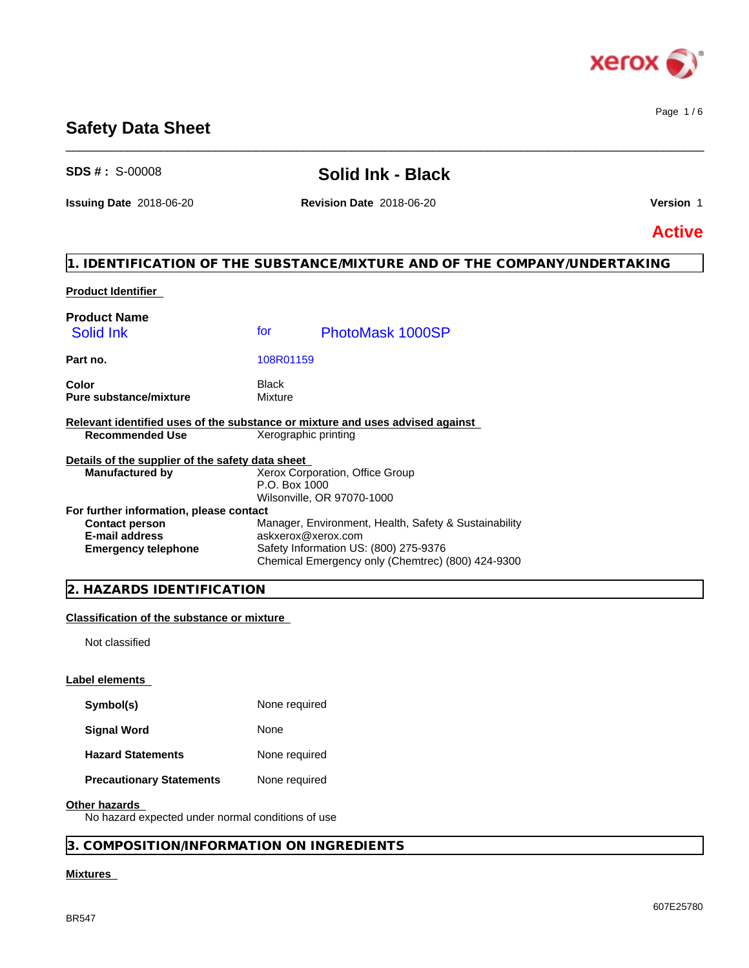

Page 1 / 6

# **Safety Data Sheet**

# **SDS # :** S-00008 **Solid Ink - Black**

 $\_$  ,  $\_$  ,  $\_$  ,  $\_$  ,  $\_$  ,  $\_$  ,  $\_$  ,  $\_$  ,  $\_$  ,  $\_$  ,  $\_$  ,  $\_$  ,  $\_$  ,  $\_$  ,  $\_$  ,  $\_$  ,  $\_$  ,  $\_$  ,  $\_$  ,  $\_$  ,  $\_$  ,  $\_$  ,  $\_$  ,  $\_$  ,  $\_$  ,  $\_$  ,  $\_$  ,  $\_$  ,  $\_$  ,  $\_$  ,  $\_$  ,  $\_$  ,  $\_$  ,  $\_$  ,  $\_$  ,  $\_$  ,  $\_$  ,

**Issuing Date** 2018-06-20 **Revision Date** 2018-06-20 **Version** 1

**Active**

# **1. IDENTIFICATION OF THE SUBSTANCE/MIXTURE AND OF THE COMPANY/UNDERTAKING**

### **Product Identifier**

| <b>Product Name</b><br>Solid Ink                                              | for                     | PhotoMask 1000SP                                      |  |
|-------------------------------------------------------------------------------|-------------------------|-------------------------------------------------------|--|
| Part no.                                                                      | 108R01159               |                                                       |  |
| Color<br><b>Pure substance/mixture</b>                                        | <b>Black</b><br>Mixture |                                                       |  |
| Relevant identified uses of the substance or mixture and uses advised against |                         |                                                       |  |
| <b>Recommended Use</b>                                                        | Xerographic printing    |                                                       |  |
| Details of the supplier of the safety data sheet                              |                         |                                                       |  |
| <b>Manufactured by</b>                                                        |                         | Xerox Corporation, Office Group                       |  |
|                                                                               | P.O. Box 1000           |                                                       |  |
|                                                                               |                         | Wilsonville, OR 97070-1000                            |  |
| For further information, please contact                                       |                         |                                                       |  |
| <b>Contact person</b>                                                         |                         | Manager, Environment, Health, Safety & Sustainability |  |
| <b>E-mail address</b>                                                         | askxerox@xerox.com      |                                                       |  |
| <b>Emergency telephone</b>                                                    |                         | Safety Information US: (800) 275-9376                 |  |
|                                                                               |                         | Chemical Emergency only (Chemtrec) (800) 424-9300     |  |

## **2. HAZARDS IDENTIFICATION**

### **Classification of the substance or mixture**

Not classified

#### **Label elements**

| Symbol(s) | None required |
|-----------|---------------|
|-----------|---------------|

**Signal Word** None

| <b>Hazard Statements</b> | None required |
|--------------------------|---------------|
|--------------------------|---------------|

**Precautionary Statements** None required

#### **Other hazards**

No hazard expected under normal conditions of use

# **3. COMPOSITION/INFORMATION ON INGREDIENTS**

# **Mixtures**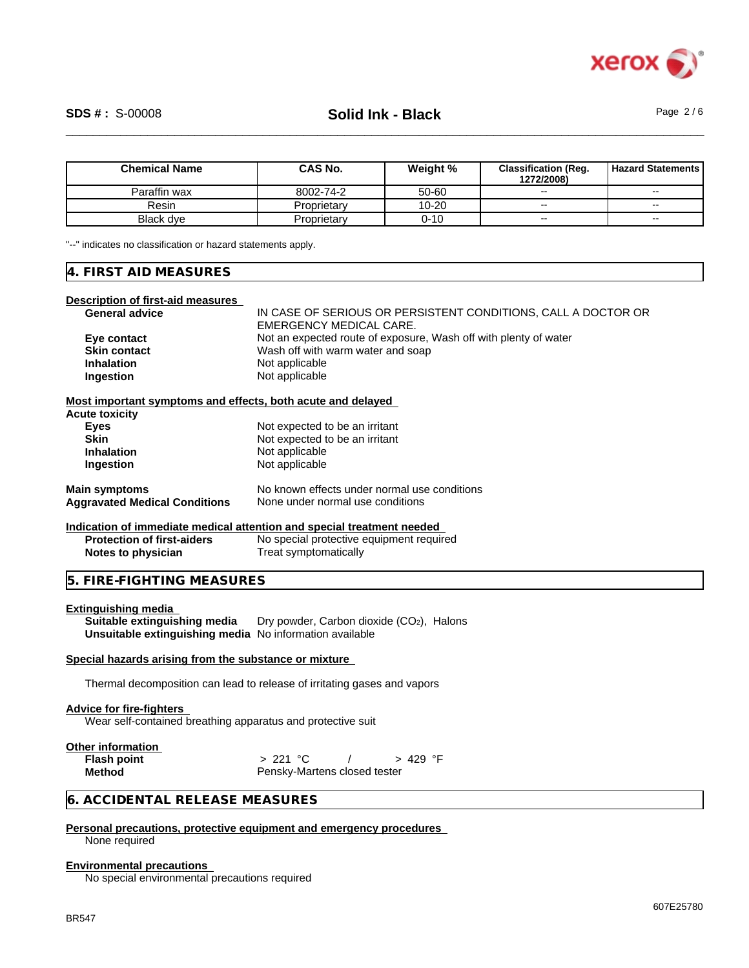

# \_\_\_\_\_\_\_\_\_\_\_\_\_\_\_\_\_\_\_\_\_\_\_\_\_\_\_\_\_\_\_\_\_\_\_\_\_\_\_\_\_\_\_\_\_\_\_\_\_\_\_\_\_\_\_\_\_\_\_\_\_\_\_\_\_\_\_\_\_\_\_\_\_\_\_\_\_\_\_\_\_\_\_\_\_\_\_\_\_\_\_\_\_\_ **SDS # :** S-00008 **Solid Ink - Black** Page 2 / 6

| <b>Chemical Name</b> | CAS No.     | Weight %  | <b>Classification (Reg.</b><br>1272/2008) | <b>Hazard Statements</b> |
|----------------------|-------------|-----------|-------------------------------------------|--------------------------|
| Paraffin wax         | 8002-74-2   | 50-60     | $-$                                       | $\overline{\phantom{a}}$ |
| Resin                | Proprietary | $10 - 20$ | $\sim$                                    | $\overline{\phantom{a}}$ |
| Black dye            | Proprietary | 0-10      | $\overline{\phantom{a}}$                  | $\sim$ $\sim$            |

"--" indicates no classification or hazard statements apply.

#### **4. FIRST AID MEASURES**

#### **Description of first-aid measures**

| <b>General advice</b> | IN CASE OF SERIOUS OR PERSISTENT CONDITIONS. CALL A DOCTOR OR    |
|-----------------------|------------------------------------------------------------------|
|                       | EMERGENCY MEDICAL CARE.                                          |
| Eye contact           | Not an expected route of exposure. Wash off with plenty of water |
| <b>Skin contact</b>   | Wash off with warm water and soap                                |
| <b>Inhalation</b>     | Not applicable                                                   |
| Ingestion             | Not applicable                                                   |
|                       |                                                                  |

**Most important symptoms and effects, both acute and delayed**

| <b>Acute toxicity</b>                |                                              |
|--------------------------------------|----------------------------------------------|
| <b>Eyes</b>                          | Not expected to be an irritant               |
| Skin                                 | Not expected to be an irritant               |
| <b>Inhalation</b>                    | Not applicable                               |
| Ingestion                            | Not applicable                               |
| <b>Main symptoms</b>                 | No known effects under normal use conditions |
| <b>Aggravated Medical Conditions</b> | None under normal use conditions             |

**Indication of immediate medical attention and special treatment needed Protection of first-aiders** No special protective equipment required **Notes to physician** Treat symptomatically

#### **5. FIRE-FIGHTING MEASURES**

#### **Extinguishing media**

**Suitable extinguishing media** Dry powder, Carbon dioxide (CO<sub>2</sub>), Halons **Unsuitable extinguishing media** No information available

### **Special hazards arising from the substance or mixture**

Thermal decomposition can lead to release of irritating gases and vapors

#### **Advice for fire-fighters**

Wear self-contained breathing apparatus and protective suit

| <b>Other information</b> |                              |          |  |
|--------------------------|------------------------------|----------|--|
| <b>Flash point</b>       | > 221 °C                     | > 429 °F |  |
| Method                   | Pensky-Martens closed tester |          |  |

#### **6. ACCIDENTAL RELEASE MEASURES**

## **Personal precautions, protective equipment and emergency procedures**

None required

#### **Environmental precautions**

No special environmental precautions required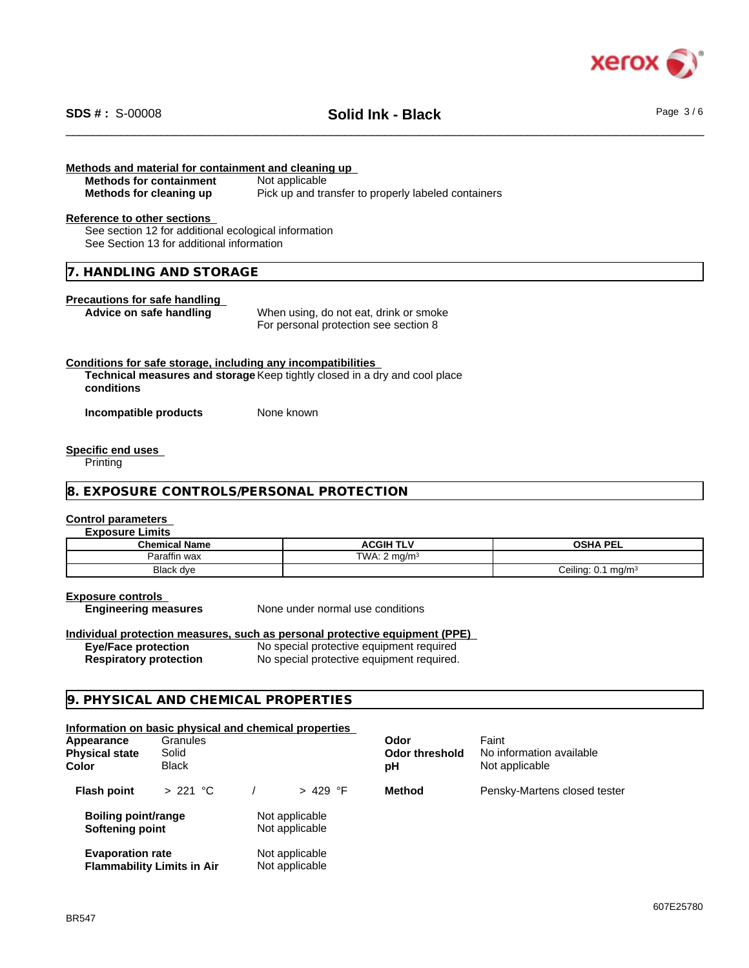

# \_\_\_\_\_\_\_\_\_\_\_\_\_\_\_\_\_\_\_\_\_\_\_\_\_\_\_\_\_\_\_\_\_\_\_\_\_\_\_\_\_\_\_\_\_\_\_\_\_\_\_\_\_\_\_\_\_\_\_\_\_\_\_\_\_\_\_\_\_\_\_\_\_\_\_\_\_\_\_\_\_\_\_\_\_\_\_\_\_\_\_\_\_\_ **SDS # :** S-00008 **Solid Ink - Black** Page 3 / 6

# **Methods and material for containment and cleaning up Methods for containment** Not applicable **Methods for cleaning up** Pick up and transfer to properly labeled containers **Reference to other sections** See section 12 for additional ecological information See Section 13 for additional information **7. HANDLING AND STORAGE Precautions for safe handling Advice on safe handling** When using, do not eat, drink or smoke For personal protection see section 8 **Conditions for safe storage, including any incompatibilities Technical measures and storage** Keep tightly closed in a dry and cool place **conditions Incompatible products** None known **Specific end uses** Printing **8. EXPOSURE CONTROLS/PERSONAL PROTECTION Control parameters Exposure Limits Chemical Name ACGIH TLV OSHA PEL**<br> **Paraffin wax COLL TWA:** 2 mg/m<sup>3</sup> Paraffin wax  $\frac{1}{2}$  TWA: 2 mg/m<sup>3</sup> Ceiling:  $0.1$  mg/m<sup>3</sup> **Exposure controls Engineering measures** None under normal use conditions **Individual protection measures, such as personal protective equipment (PPE) Eye/Face protection** No special protective equipment required **Respiratory protection** No special protective equipment required. **9. PHYSICAL AND CHEMICAL PROPERTIES Information on basic physical and chemical properties**

| Appearance<br><b>Physical state</b><br><b>Color</b> | Granules<br>Solid<br><b>Black</b> |                                  | Odor<br><b>Odor threshold</b><br>рH | Faint<br>No information available<br>Not applicable |
|-----------------------------------------------------|-----------------------------------|----------------------------------|-------------------------------------|-----------------------------------------------------|
| <b>Flash point</b>                                  | > 221 °C                          | $> 429$ °F                       | <b>Method</b>                       | Pensky-Martens closed tester                        |
| <b>Boiling point/range</b><br>Softening point       |                                   | Not applicable<br>Not applicable |                                     |                                                     |
| <b>Evaporation rate</b>                             | <b>Flammability Limits in Air</b> | Not applicable<br>Not applicable |                                     |                                                     |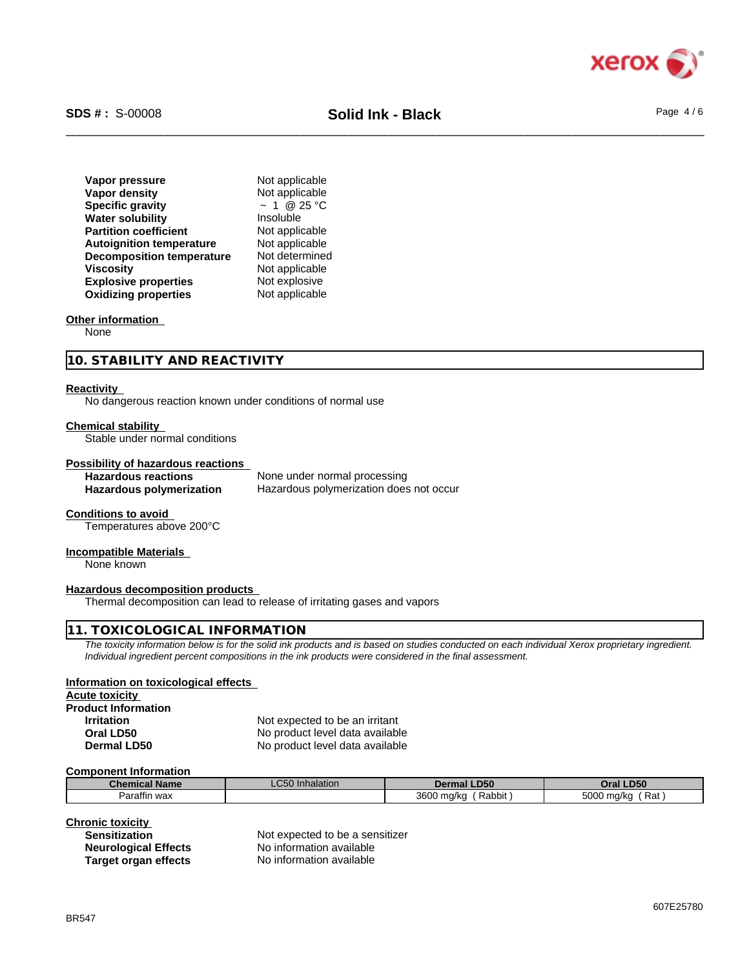

# \_\_\_\_\_\_\_\_\_\_\_\_\_\_\_\_\_\_\_\_\_\_\_\_\_\_\_\_\_\_\_\_\_\_\_\_\_\_\_\_\_\_\_\_\_\_\_\_\_\_\_\_\_\_\_\_\_\_\_\_\_\_\_\_\_\_\_\_\_\_\_\_\_\_\_\_\_\_\_\_\_\_\_\_\_\_\_\_\_\_\_\_\_\_ **SDS # :** S-00008 **Solid Ink - Black** Page 4 / 6

| Vapor pressure                   | Not applicable   |
|----------------------------------|------------------|
| Vapor density                    | Not applicable   |
| <b>Specific gravity</b>          | $\sim 1$ @ 25 °C |
| <b>Water solubility</b>          | Insoluble        |
| <b>Partition coefficient</b>     | Not applicable   |
| <b>Autoignition temperature</b>  | Not applicable   |
| <b>Decomposition temperature</b> | Not determined   |
| <b>Viscosity</b>                 | Not applicable   |
| <b>Explosive properties</b>      | Not explosive    |
| <b>Oxidizing properties</b>      | Not applicable   |

#### **Other information**

None

#### **10. STABILITY AND REACTIVITY**

#### **Reactivity**

No dangerous reaction known under conditions of normal use

#### **Chemical stability**

Stable under normal conditions

#### **Possibility of hazardous reactions**

**Hazardous reactions** None under normal processing **Hazardous polymerization** Hazardous polymerization does not occur

#### **Conditions to avoid**

Temperatures above 200°C

#### **Incompatible Materials**

None known

#### **Hazardous decomposition products**

Thermal decomposition can lead to release of irritating gases and vapors

#### **11. TOXICOLOGICAL INFORMATION**

*The toxicity information below is for the solid ink products and is based on studies conducted on each individual Xerox proprietary ingredient. Individual ingredient percent compositions in the ink products were considered in the final assessment.*

#### **Information on toxicological effects**

**Acute toxicity Product Information**

**Irritation** Not expected to be an irritant **Oral LD50** No product level data available<br> **Dermal LD50** No product level data available No product level data available

#### **Component Information**

| <b>Chemical Name</b> | $\sim$ $\sim$ $\sim$<br>l Inhalation<br>∟∪∪∪ | <b>Dermal LD50</b>       | <b>_D50</b><br>Oral I    |
|----------------------|----------------------------------------------|--------------------------|--------------------------|
| <br>Paraffin wax     |                                              | 3600<br>Rabbit,<br>ma/ka | 5000<br>์ Rat<br>) ma/ka |

#### **Chronic toxicity**

| <b>Sensitization</b>        |
|-----------------------------|
| <b>Neurological Effects</b> |
| <b>Target organ effects</b> |

Not expected to be a sensitizer **No information available No information available**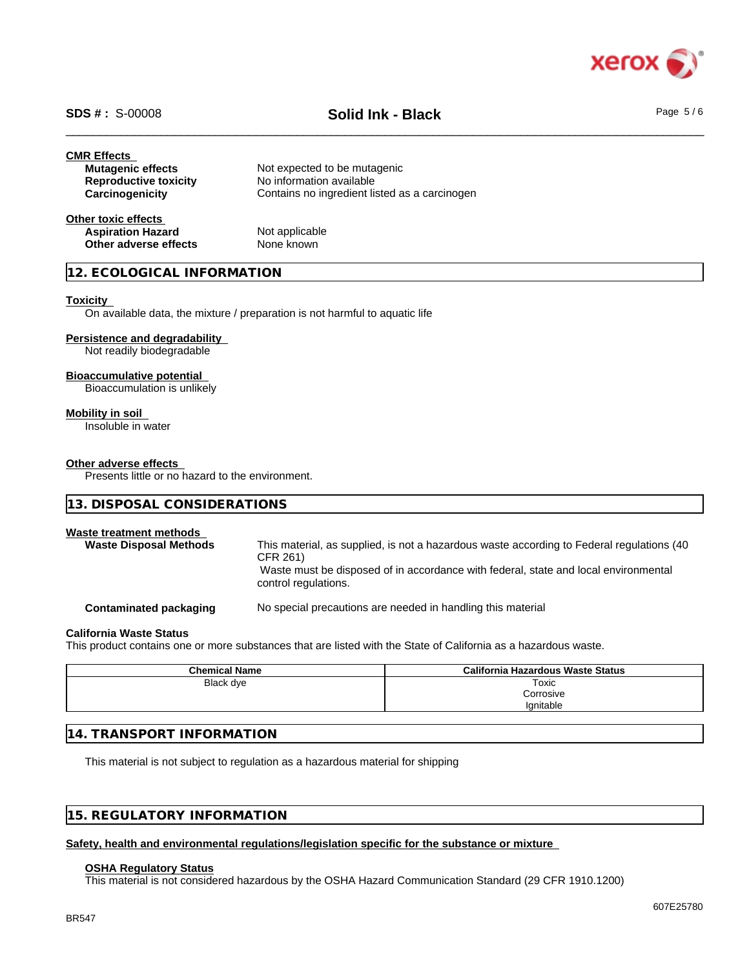

# \_\_\_\_\_\_\_\_\_\_\_\_\_\_\_\_\_\_\_\_\_\_\_\_\_\_\_\_\_\_\_\_\_\_\_\_\_\_\_\_\_\_\_\_\_\_\_\_\_\_\_\_\_\_\_\_\_\_\_\_\_\_\_\_\_\_\_\_\_\_\_\_\_\_\_\_\_\_\_\_\_\_\_\_\_\_\_\_\_\_\_\_\_\_ **SDS # :** S-00008 **Solid Ink - Black** Page 5 / 6

| <b>CMR Effects</b>           |                                               |
|------------------------------|-----------------------------------------------|
| <b>Mutagenic effects</b>     | Not expected to be mutagenic                  |
| <b>Reproductive toxicity</b> | No information available                      |
| Carcinogenicity              | Contains no ingredient listed as a carcinogen |
| Other toxic effects          |                                               |
| <b>Aspiration Hazard</b>     | Not applicable                                |
| Other adverse effects        | None known                                    |

## **12. ECOLOGICAL INFORMATION**

#### **Toxicity**

On available data, the mixture / preparation is not harmful to aquatic life

#### **Persistence and degradability**

Not readily biodegradable

### **Bioaccumulative potential**

Bioaccumulation is unlikely

#### **Mobility in soil**

Insoluble in water

#### **Other adverse effects**

Presents little or no hazard to the environment.

| 13. DISPOSAL CONSIDERATIONS                                                                                                                                                                                          |  |  |  |  |
|----------------------------------------------------------------------------------------------------------------------------------------------------------------------------------------------------------------------|--|--|--|--|
|                                                                                                                                                                                                                      |  |  |  |  |
| This material, as supplied, is not a hazardous waste according to Federal regulations (40<br>CFR 261)<br>Waste must be disposed of in accordance with federal, state and local environmental<br>control regulations. |  |  |  |  |
| No special precautions are needed in handling this material                                                                                                                                                          |  |  |  |  |
|                                                                                                                                                                                                                      |  |  |  |  |

# **California Waste Status**

This product contains one or more substances that are listed with the State of California as a hazardous waste.

| <b>Chemical Name</b> | California Hazardous Waste Status |
|----------------------|-----------------------------------|
| Black dye            | Toxic                             |
|                      | Corrosive                         |
|                      | Ignitable                         |

# **14. TRANSPORT INFORMATION**

This material is not subject to regulation as a hazardous material for shipping

# **15. REGULATORY INFORMATION**

### **Safety, health and environmental regulations/legislation specific for the substance or mixture**

#### **OSHA Regulatory Status**

This material is not considered hazardous by the OSHA Hazard Communication Standard (29 CFR 1910.1200)